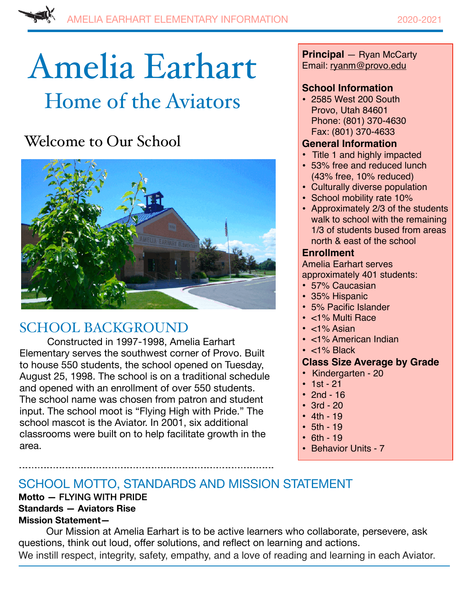# Amelia Earhart Home of the Aviators

# Welcome to Our School



## SCHOOL BACKGROUND

Constructed in 1997-1998, Amelia Earhart Elementary serves the southwest corner of Provo. Built to house 550 students, the school opened on Tuesday, August 25, 1998. The school is on a traditional schedule and opened with an enrollment of over 550 students. The school name was chosen from patron and student input. The school moot is "Flying High with Pride." The school mascot is the Aviator. In 2001, six additional classrooms were built on to help facilitate growth in the area.

**Principal** — Ryan McCarty Email: [ryanm@provo.edu](mailto:ryanm@provo.edu)

## **School Information**

• 2585 West 200 South Provo, Utah 84601 Phone: (801) 370-4630 Fax: (801) 370-4633

## **General Information**

- Title 1 and highly impacted
- 53% free and reduced lunch (43% free, 10% reduced)
- Culturally diverse population
- School mobility rate 10%
- Approximately 2/3 of the students walk to school with the remaining 1/3 of students bused from areas north & east of the school

## **Enrollment**

Amelia Earhart serves

- approximately 401 students:
- 57% Caucasian
- 35% Hispanic
- 5% Pacific Islander
- <1% Multi Race
- $\cdot$  <1% Asian
- <1% American Indian
- <1% Black

## **Class Size Average by Grade**

- **•** Kindergarten 20
- $1st 21$
- 2nd 16
- 3rd 20
- $4th 19$
- $5th 19$
- $6th 19$
- Behavior Units 7

## SCHOOL MOTTO, STANDARDS AND MISSION STATEMENT

#### **Motto —** FLYING WITH PRIDE **Standards — Aviators Rise Mission Statement—**

Our Mission at Amelia Earhart is to be active learners who collaborate, persevere, ask questions, think out loud, offer solutions, and reflect on learning and actions. We instill respect, integrity, safety, empathy, and a love of reading and learning in each Aviator.